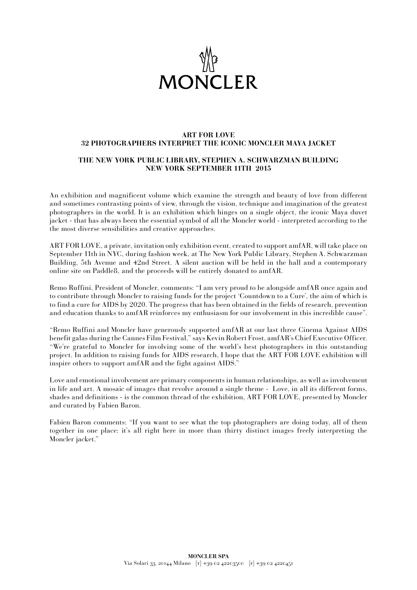

## **ART FOR LOVE 32 PHOTOGRAPHERS INTERPRET THE ICONIC MONCLER MAYA JACKET**

## **THE NEW YORK PUBLIC LIBRARY, STEPHEN A. SCHWARZMAN BUILDING NEW YORK SEPTEMBER 11TH 2015**

An exhibition and magnificent volume which examine the strength and beauty of love from different and sometimes contrasting points of view, through the vision, technique and imagination of the greatest photographers in the world. It is an exhibition which hinges on a single object, the iconic Maya duvet jacket - that has always been the essential symbol of all the Moncler world - interpreted according to the the most diverse sensibilities and creative approaches.

ART FOR LOVE, a private, invitation only exhibition event, created to support amfAR, will take place on September 11th in NYC, during fashion week, at The New York Public Library, Stephen A. Schwarzman Building, 5th Avenue and 42nd Street. A silent auction will be held in the hall and a contemporary online site on Paddle8, and the proceeds will be entirely donated to amfAR.

Remo Ruffini, President of Moncler, comments: "I am very proud to be alongside amfAR once again and to contribute through Moncler to raising funds for the project 'Countdown to a Cure', the aim of which is to find a cure for AIDS by 2020. The progress that has been obtained in the fields of research, prevention and education thanks to amfAR reinforces my enthusiasm for our involvement in this incredible cause".

"Remo Ruffini and Moncler have generously supported amfAR at our last three Cinema Against AIDS benefit galas during the Cannes Film Festival," says Kevin Robert Frost, amfAR's Chief Executive Officer. "We're grateful to Moncler for involving some of the world's best photographers in this outstanding project. In addition to raising funds for AIDS research, I hope that the ART FOR LOVE exhibition will inspire others to support amfAR and the fight against AIDS."

Love and emotional involvement are primary components in human relationships, as well as involvement in life and art. A mosaic of images that revolve around a single theme - Love, in all its different forms, shades and definitions - is the common thread of the exhibition, ART FOR LOVE, presented by Moncler and curated by Fabien Baron.

Fabien Baron comments: "If you want to see what the top photographers are doing today, all of them together in one place: it's all right here in more than thirty distinct images freely interpreting the Moncler jacket."